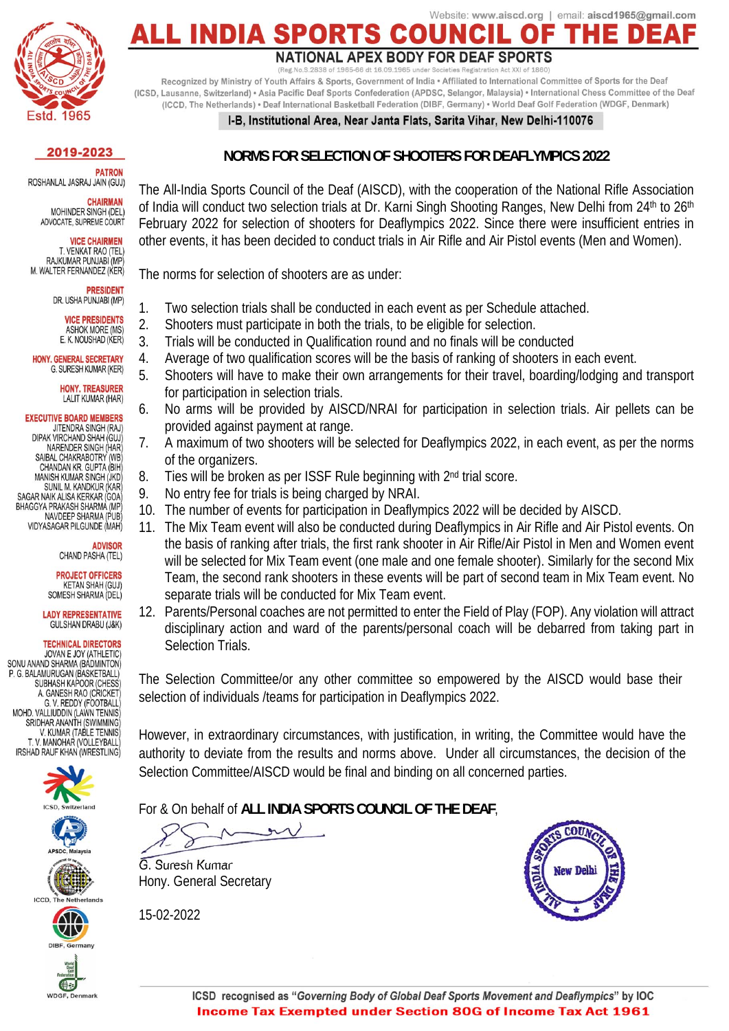

## Website: www.aiscd.org | email: aiscd1965@gmail.com **ALL INDIA SPO**

#### **NATIONAL APEX BODY FOR DEAF SPORTS**

o.S.2838 of 1965-66 dt 16.09.1965 under Societies Registration Act XXI of 1860) Recognized by Ministry of Youth Affairs & Sports, Government of India . Affiliated to International Committee of Sports for the Deaf (ICSD, Lausanne, Switzerland) · Asia Pacific Deaf Sports Confederation (APDSC, Selangor, Malaysia) · International Chess Committee of the Deaf (ICCD, The Netherlands) • Deaf International Basketball Federation (DIBF, Germany) • World Deaf Golf Federation (WDGF, Denmark)

### I-B. Institutional Area. Near Janta Flats, Sarita Vihar, New Delhi-110076

### 2019-2023

**PATRON** ROSHANLAL JASRAJ JAIN (GUJ)

CHAIRMAN MOHINDER SINGH (DEL) ADVOCATE, SUPREME COURT

> **VICE CHAIRMEN** T. VENKAT RAO (TEL)

RAJKUMAR PUNJABI (MP M. WALTER FERNANDEZ (KER)

> **PRESIDENT** DR. USHA PUNJABI (MP)

> > **VICE PRESIDENTS ASHOK MORE (MS)**

E. K. NOUSHAD (KER) HONY GENERAL SECRETARY G. SURESH KUMAR (KER)

> **HONY. TREASURER** LALIT KUMAR (HAR)

**EXECUTIVE BOARD MEMBERS** JITENDRA SINGH (RAJ) DIPAK VIRCHAND SHAH (GUJ) NARENDER SINGH (HAR) SAIBAL CHAKRABOTRY (WB) CHANDAN KR. GUPTA (BIH) MANISH KUMAR SINGH (JKD) SUNIL M. KANDKUR (KAR)

SAGAR NAIK ALISA KERKAR (GOA) BHAGGYA PRAKASH SHARMA (MP NAVDEEP SHARMA (PUB) VIDYASAGAR PILGUNDE (MAH)

### **ADVISOR** CHAND PASHA (TEL)

**PROJECT OFFICERS KETAN SHAH (GUJ)** SOMESH SHARMA (DEL)

**LADY REPRESENTATIVE GULSHAN DRABU (J&K)** 

**TECHNICAL DIRECTORS** JOVAN E JOY (ATHLETIC) SONU ANAND SHARMA (BADMINTON) P. G. BALAMURUGAN (BASKETBALL) SUBHASH KAPOOR (CHESS A. GANESH RAO (CRICKET G. V. REDDY (FOOTBALL)<br>MOHD. VALLIUDDIN (LAWN TENNIS) SRIDHAR ANANTH (SWIMMING V. KUMAR (TABLE TENNIS) T. V. MANOHAR (VOLLEYBALL

IRSHAD RAUF KHAN (WRESTLING)











电 WDGF, Denmark 15-02-2022



## **NORMS FOR SELECTION OF SHOOTERS FOR DEAFLYMPICS 2022**

The All-India Sports Council of the Deaf (AISCD), with the cooperation of the National Rifle Association of India will conduct two selection trials at Dr. Karni Singh Shooting Ranges, New Delhi from 24<sup>th</sup> to 26<sup>th</sup> February 2022 for selection of shooters for Deaflympics 2022. Since there were insufficient entries in other events, it has been decided to conduct trials in Air Rifle and Air Pistol events (Men and Women).

The norms for selection of shooters are as under:

- 1. Two selection trials shall be conducted in each event as per Schedule attached.
- 2. Shooters must participate in both the trials, to be eligible for selection.
- 3. Trials will be conducted in Qualification round and no finals will be conducted
- 4. Average of two qualification scores will be the basis of ranking of shooters in each event.
- 5. Shooters will have to make their own arrangements for their travel, boarding/lodging and transport for participation in selection trials.
- 6. No arms will be provided by AISCD/NRAI for participation in selection trials. Air pellets can be provided against payment at range.
- 7. A maximum of two shooters will be selected for Deaflympics 2022, in each event, as per the norms of the organizers.
- 8. Ties will be broken as per ISSF Rule beginning with 2<sup>nd</sup> trial score.
- 9. No entry fee for trials is being charged by NRAI.
- 10. The number of events for participation in Deaflympics 2022 will be decided by AISCD.
- 11. The Mix Team event will also be conducted during Deaflympics in Air Rifle and Air Pistol events. On the basis of ranking after trials, the first rank shooter in Air Rifle/Air Pistol in Men and Women event will be selected for Mix Team event (one male and one female shooter). Similarly for the second Mix Team, the second rank shooters in these events will be part of second team in Mix Team event. No separate trials will be conducted for Mix Team event.
- 12. Parents/Personal coaches are not permitted to enter the Field of Play (FOP). Any violation will attract disciplinary action and ward of the parents/personal coach will be debarred from taking part in Selection Trials.

The Selection Committee/or any other committee so empowered by the AISCD would base their selection of individuals /teams for participation in Deaflympics 2022.

However, in extraordinary circumstances, with justification, in writing, the Committee would have the authority to deviate from the results and norms above. Under all circumstances, the decision of the Selection Committee/AISCD would be final and binding on all concerned parties.

For & On behalf of **ALL INDIA SPORTS COUNCIL OF THE DEAF**,

G. Suresh Kumar Hony. General Secretary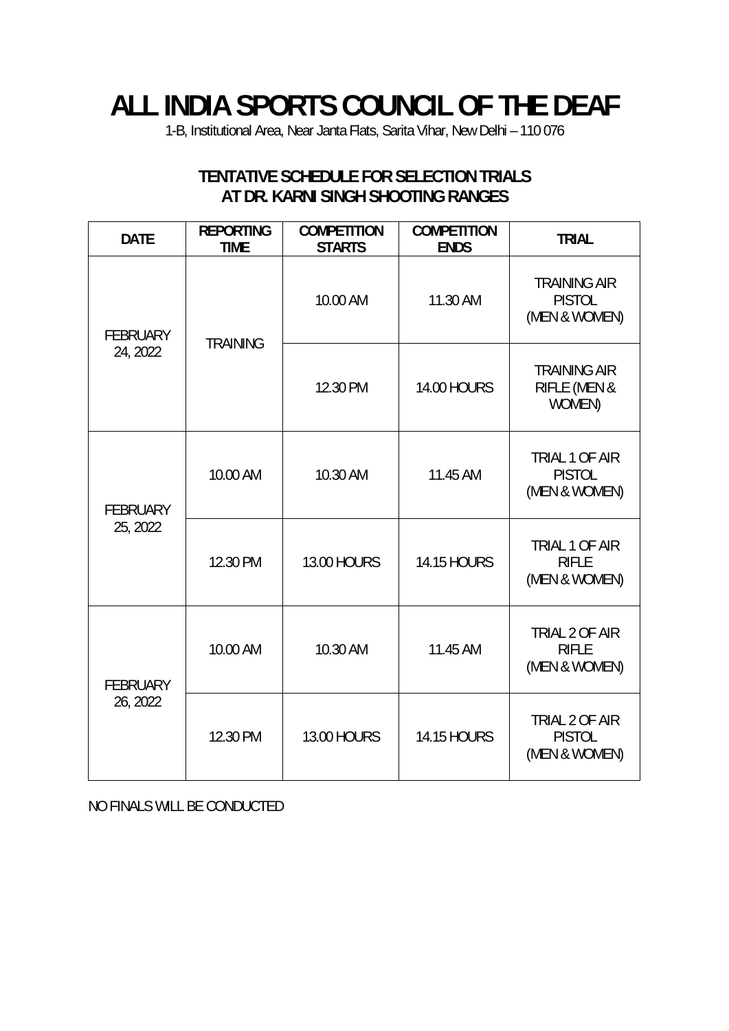# **ALL INDIA SPORTS COUNCIL OF THE DEAF**

1-B, Institutional Area, Near Janta Flats, Sarita Vihar, New Delhi – 110 076

### **DATE REPORTING TIME COMPETITION STARTS COMPETITION ENDS TRIAL**  FEBRUARY  $24, 2022$  TRAINING 10.00 AM 11.30 AM TRAINING AIR PISTOL (MEN & WOMEN) 12.30 PM 14.00 HOURS TRAINING AIR RIFLE (MEN & WOMEN) FEBRUARY 25, 2022 10.00 AM 10.30 AM 11.45 AM TRIAL 1 OF AIR PISTOL (MEN & WOMEN) 12.30 PM | 13.00 HOURS | 14.15 HOURS TRIAL 1 OF AIR RIFLE (MEN & WOMEN) FEBRUARY 26, 2022 10.00 AM 10.30 AM 11.45 AM TRIAL 2 OF AIR RIFLE (MEN & WOMEN) 12.30 PM | 13.00 HOURS | 14.15 HOURS TRIAL 2 OF AIR PISTOL (MEN & WOMEN)

## **TENTATIVE SCHEDULE FOR SELECTION TRIALS AT DR. KARNI SINGH SHOOTING RANGES**

NO FINALS WILL BE CONDUCTED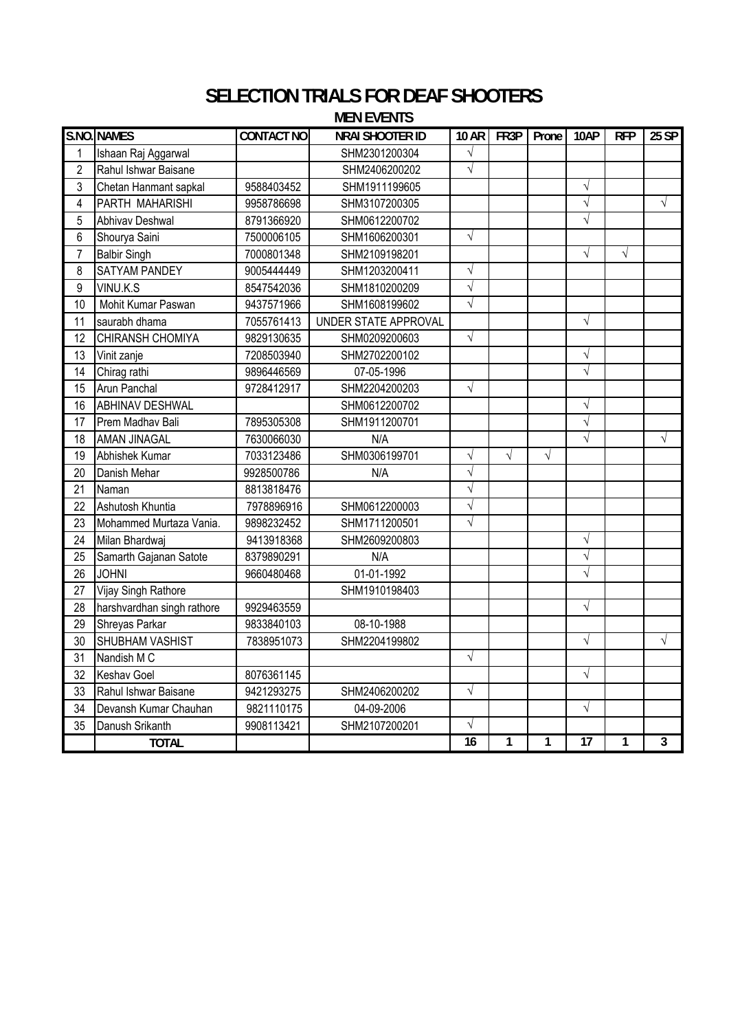## **SELECTION TRIALS FOR DEAF SHOOTERS MEN EVENTS**

|                 | S.NO. NAMES                | <b>CONTACT NO</b> | <b>NRAI SHOOTER ID</b> |            | $10 AR$ FR3P   | Prone     | 10AP            | <b>RFP</b>     | $25$ SP        |
|-----------------|----------------------------|-------------------|------------------------|------------|----------------|-----------|-----------------|----------------|----------------|
| 1               | Ishaan Raj Aggarwal        |                   | SHM2301200304          | $\sqrt{}$  |                |           |                 |                |                |
| $\overline{2}$  | Rahul Ishwar Baisane       |                   | SHM2406200202          | $\sqrt{}$  |                |           |                 |                |                |
| 3               | Chetan Hanmant sapkal      | 9588403452        | SHM1911199605          |            |                |           | $\sqrt{}$       |                |                |
| 4               | PARTH MAHARISHI            | 9958786698        | SHM3107200305          |            |                |           | $\sqrt{}$       |                | $\sqrt{}$      |
| 5               | Abhivav Deshwal            | 8791366920        | SHM0612200702          |            |                |           | $\sqrt{}$       |                |                |
| 6               | Shourya Saini              | 7500006105        | SHM1606200301          | $\sqrt{2}$ |                |           |                 |                |                |
| $\overline{7}$  | <b>Balbir Singh</b>        | 7000801348        | SHM2109198201          |            |                |           | $\sqrt{ }$      | $\sqrt{}$      |                |
| 8               | SATYAM PANDEY              | 9005444449        | SHM1203200411          | $\sqrt{}$  |                |           |                 |                |                |
| $\overline{9}$  | VINU.K.S                   | 8547542036        | SHM1810200209          | $\sqrt{}$  |                |           |                 |                |                |
| 10              | Mohit Kumar Paswan         | 9437571966        | SHM1608199602          | $\sqrt{}$  |                |           |                 |                |                |
| 11              | saurabh dhama              | 7055761413        | UNDER STATE APPROVAL   |            |                |           | $\sqrt{}$       |                |                |
| $\overline{12}$ | CHIRANSH CHOMIYA           | 9829130635        | SHM0209200603          | $\sqrt{}$  |                |           |                 |                |                |
| 13              | Vinit zanje                | 7208503940        | SHM2702200102          |            |                |           | $\sqrt{}$       |                |                |
| 14              | Chirag rathi               | 9896446569        | 07-05-1996             |            |                |           | $\sqrt{}$       |                |                |
| 15              | Arun Panchal               | 9728412917        | SHM2204200203          | $\sqrt{}$  |                |           |                 |                |                |
| 16              | <b>ABHINAV DESHWAL</b>     |                   | SHM0612200702          |            |                |           | $\sqrt{}$       |                |                |
| 17              | Prem Madhav Bali           | 7895305308        | SHM1911200701          |            |                |           | $\sqrt{}$       |                |                |
| 18              | <b>AMAN JINAGAL</b>        | 7630066030        | N/A                    |            |                |           | $\sqrt{}$       |                | $\sqrt{}$      |
| 19              | Abhishek Kumar             | 7033123486        | SHM0306199701          | $\sqrt{}$  | $\sqrt{}$      | $\sqrt{}$ |                 |                |                |
| 20              | Danish Mehar               | 9928500786        | N/A                    | $\sqrt{}$  |                |           |                 |                |                |
| 21              | Naman                      | 8813818476        |                        | $\sqrt{}$  |                |           |                 |                |                |
| 22              | Ashutosh Khuntia           | 7978896916        | SHM0612200003          | $\sqrt{}$  |                |           |                 |                |                |
| 23              | Mohammed Murtaza Vania.    | 9898232452        | SHM1711200501          | $\sqrt{}$  |                |           |                 |                |                |
| 24              | Milan Bhardwaj             | 9413918368        | SHM2609200803          |            |                |           | $\sqrt{}$       |                |                |
| 25              | Samarth Gajanan Satote     | 8379890291        | N/A                    |            |                |           | $\sqrt{}$       |                |                |
| 26              | <b>JOHNI</b>               | 9660480468        | 01-01-1992             |            |                |           | $\sqrt{}$       |                |                |
| 27              | Vijay Singh Rathore        |                   | SHM1910198403          |            |                |           |                 |                |                |
| 28              | harshvardhan singh rathore | 9929463559        |                        |            |                |           | $\sqrt{}$       |                |                |
| 29              | Shreyas Parkar             | 9833840103        | 08-10-1988             |            |                |           |                 |                |                |
| 30              | SHUBHAM VASHIST            | 7838951073        | SHM2204199802          |            |                |           | $\sqrt{}$       |                | $\sqrt{}$      |
| 31              | Nandish M C                |                   |                        | $\sqrt{}$  |                |           |                 |                |                |
| 32              | <b>Keshav Goel</b>         | 8076361145        |                        |            |                |           | $\sqrt{}$       |                |                |
| 33              | Rahul Ishwar Baisane       | 9421293275        | SHM2406200202          | $\sqrt{}$  |                |           |                 |                |                |
| 34              | Devansh Kumar Chauhan      | 9821110175        | 04-09-2006             |            |                |           | $\sqrt{}$       |                |                |
| 35              | Danush Srikanth            | 9908113421        | SHM2107200201          | $\sqrt{}$  |                |           |                 |                |                |
|                 | <b>TOTAL</b>               |                   |                        | 16         | $\overline{1}$ | 1         | $\overline{17}$ | $\overline{1}$ | $\overline{3}$ |